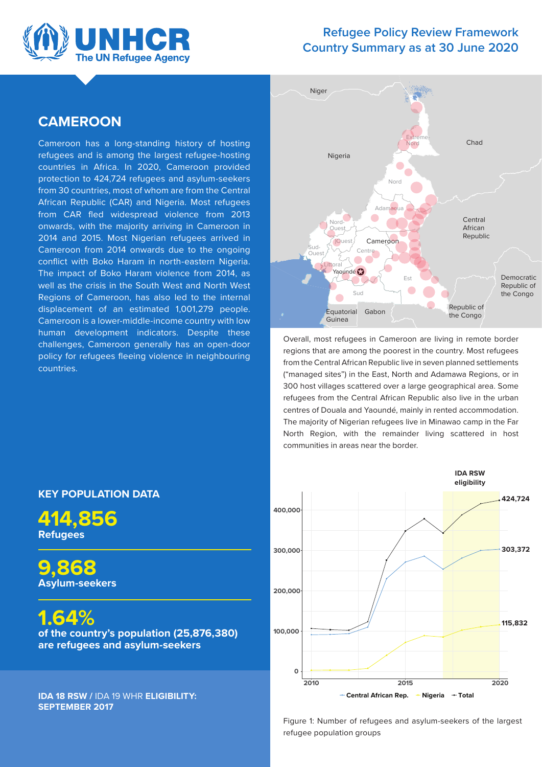

### **Refugee Policy Review Framework Country Summary as at 30 June 2020**

### **CAMEROON**

Cameroon has a long-standing history of hosting refugees and is among the largest refugee-hosting countries in Africa. In 2020, Cameroon provided protection to 424,724 refugees and asylum-seekers from 30 countries, most of whom are from the Central African Republic (CAR) and Nigeria. Most refugees from CAR fled widespread violence from 2013 onwards, with the majority arriving in Cameroon in 2014 and 2015. Most Nigerian refugees arrived in Cameroon from 2014 onwards due to the ongoing conflict with Boko Haram in north-eastern Nigeria. The impact of Boko Haram violence from 2014, as well as the crisis in the South West and North West Regions of Cameroon, has also led to the internal displacement of an estimated 1,001,279 people. Cameroon is a lower-middle-income country with low human development indicators. Despite these challenges, Cameroon generally has an open-door policy for refugees fleeing violence in neighbouring countries.



Overall, most refugees in Cameroon are living in remote border regions that are among the poorest in the country. Most refugees from the Central African Republic live in seven planned settlements ("managed sites") in the East, North and Adamawa Regions, or in 300 host villages scattered over a large geographical area. Some refugees from the Central African Republic also live in the urban centres of Douala and Yaoundé, mainly in rented accommodation. The majority of Nigerian refugees live in Minawao camp in the Far North Region, with the remainder living scattered in host communities in areas near the border.



**KEY POPULATION DATA**

**414,856 Refugees** 

**9,868 Asylum-seekers** 

**1.64% of the country's population (25,876,380) are refugees and asylum-seekers** 

**IDA 18 RSW /** IDA 19 WHR **ELIGIBILITY: SEPTEMBER 2017**

> Figure 1: Number of refugees and asylum-seekers of the largest refugee population groups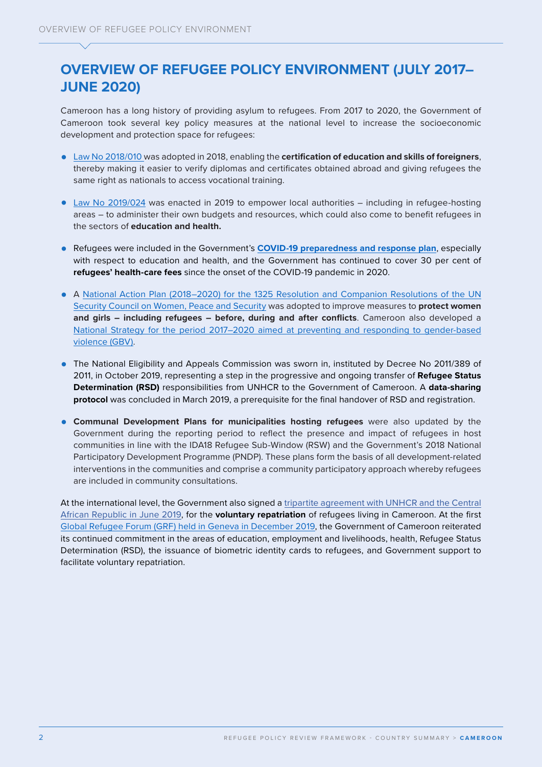# **OVERVIEW OF REFUGEE POLICY ENVIRONMENT (JULY 2017– JUNE 2020)**

Cameroon has a long history of providing asylum to refugees. From 2017 to 2020, the Government of Cameroon took several key policy measures at the national level to increase the socioeconomic development and protection space for refugees:

- **•** [Law No 2018/010](https://www.prc.cm/en/multimedia/documents/6582-law-n-2018-010-of-11-july-2018-governing-vocational-training-in-cameroon) was adopted in 2018, enabling the **certification of education and skills of foreigners**, thereby making it easier to verify diplomas and certificates obtained abroad and giving refugees the same right as nationals to access vocational training.
- **•** [Law No 2019/024](https://www.prc.cm/en/news/the-acts/laws/4049-law-no-2019-024-of-24-december-2019-bill-to-institute-the-general-code-of-regional-and-local-authorities) was enacted in 2019 to empower local authorities including in refugee-hosting areas – to administer their own budgets and resources, which could also come to benefit refugees in the sectors of **education and health.**
- **•** Refugees were included in the Government's **[COVID-19 preparedness and response plan](https://reliefweb.int/report/cameroon/iom-cameroon-strategic-preparedness-and-response-plan-covid-19-may-december-2020)**, especially with respect to education and health, and the Government has continued to cover 30 per cent of **refugees' health-care fees** since the onset of the COVID-19 pandemic in 2020.
- **•** A [National Action Plan \(2018–2020\) for the 1325 Resolution and Companion Resolutions of the UN](http://www.wilpf-cameroon.org/wp-content/uploads/2018/01/PAN-Resolution-1325-du-CSNU-du-Cameroun.pdf)  [Security Council on Women, Peace and Security](http://www.wilpf-cameroon.org/wp-content/uploads/2018/01/PAN-Resolution-1325-du-CSNU-du-Cameroun.pdf) was adopted to improve measures to **protect women and girls – including refugees – before, during and after conflicts**. Cameroon also developed a [National Strategy for the period 2017–2020 aimed at preventing and responding to](http://www.minproff.cm/wp-content/uploads/2015/05/STRATEGIE-NATIONALE-CONTRE-LES-VBG-2017-2020.pdf) gender-based violence (GBV).
- **•** The National Eligibility and Appeals Commission was sworn in, instituted by Decree No 2011/389 of 2011, in October 2019, representing a step in the progressive and ongoing transfer of **Refugee Status Determination (RSD)** responsibilities from UNHCR to the Government of Cameroon. A **data-sharing protocol** was concluded in March 2019, a prerequisite for the final handover of RSD and registration.
- **• Communal Development Plans for municipalities hosting refugees** were also updated by the Government during the reporting period to reflect the presence and impact of refugees in host communities in line with the IDA18 Refugee Sub-Window (RSW) and the Government's 2018 National Participatory Development Programme (PNDP). These plans form the basis of all development-related interventions in the communities and comprise a community participatory approach whereby refugees are included in community consultations.

At the international level, the Government also signed a [tripartite agreement with UNHCR and the Central](https://www.refworld.org/docid/5d2f244a4.html)  [African Republic in June 2019](https://www.refworld.org/docid/5d2f244a4.html), for the **voluntary repatriation** of refugees living in Cameroon. At the first [Global Refugee Forum \(GRF\) held in Geneva in December 2019](https://www.unhcr.org/global-refugee-forum.html), the Government of Cameroon reiterated its continued commitment in the areas of education, employment and livelihoods, health, Refugee Status Determination (RSD), the issuance of biometric identity cards to refugees, and Government support to facilitate voluntary repatriation.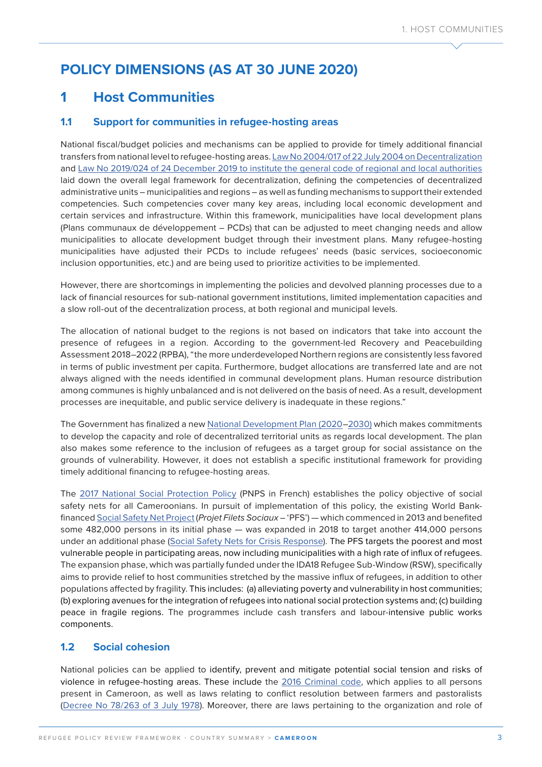# **POLICY DIMENSIONS (AS AT 30 JUNE 2020)**

## **1 Host Communities**

### **1.1 Support for communities in refugee-hosting areas**

National fiscal/budget policies and mechanisms can be applied to provide for timely additional financial transfers from national level to refugee-hosting areas. [Law No 2004/017 of 22 July 2004 on Decentralization](http://cvuc-uccc.com/minat/textes/13.pdf) and [Law No 2019/024 of 24 December 2019 to institute the general code of regional and local authorities](https://www.prc.cm/en/news/the-acts/laws/4049-law-no-2019-024-of-24-december-2019-bill-to-institute-the-general-code-of-regional-and-local-authorities) laid down the overall legal framework for decentralization, defining the competencies of decentralized administrative units – municipalities and regions – as well as funding mechanisms to support their extended competencies. Such competencies cover many key areas, including local economic development and certain services and infrastructure. Within this framework, municipalities have local development plans (Plans communaux de développement – PCDs) that can be adjusted to meet changing needs and allow municipalities to allocate development budget through their investment plans. Many refugee-hosting municipalities have adjusted their PCDs to include refugees' needs (basic services, socioeconomic inclusion opportunities, etc.) and are being used to prioritize activities to be implemented.

However, there are shortcomings in implementing the policies and devolved planning processes due to a lack of financial resources for sub-national government institutions, limited implementation capacities and a slow roll-out of the decentralization process, at both regional and municipal levels.

The allocation of national budget to the regions is not based on indicators that take into account the presence of refugees in a region. According to the government-led Recovery and Peacebuilding Assessment 2018–2022 (RPBA), "the more underdeveloped Northern regions are consistently less favored in terms of public investment per capita. Furthermore, budget allocations are transferred late and are not always aligned with the needs identified in communal development plans. Human resource distribution among communes is highly unbalanced and is not delivered on the basis of need. As a result, development processes are inequitable, and public service delivery is inadequate in these regions."

The Government has finalized a new [National Development Plan \(2020–2030\)](http://onsp.minsante.cm/fr/publication/261/stratégie-nationale-de-développement-2020-2030) which makes commitments to develop the capacity and role of decentralized territorial units as regards local development. The plan also makes some reference to the inclusion of refugees as a target group for social assistance on the grounds of vulnerability. However, it does not establish a specific institutional framework for providing timely additional financing to refugee-hosting areas.

The [2017 National Social Protection Policy](https://www.refworld.org/docid/609e831e4.html) (PNPS in French) establishes the policy objective of social safety nets for all Cameroonians. In pursuit of implementation of this policy, the existing World Bankfinanced [Social Safety Net Project](https://projetfiletsociaux.cm/interne.php?idsmenu=264) (*Projet Filets Sociaux –* 'PFS') — which commenced in 2013 and benefited some 482,000 persons in its initial phase — was expanded in 2018 to target another 414,000 persons under an additional phase ([Social Safety Nets for Crisis Response\)](http://documents1.worldbank.org/curated/en/433291525399293923/pdf/CAMEROON-SOCIAL-SAFETY-PAD-04052018.pdf). The PFS targets the poorest and most vulnerable people in participating areas, now including municipalities with a high rate of influx of refugees. The expansion phase, which was partially funded under the IDA18 Refugee Sub-Window (RSW), specifically aims to provide relief to host communities stretched by the massive influx of refugees, in addition to other populations affected by fragility. This includes: (a) alleviating poverty and vulnerability in host communities; (b) exploring avenues for the integration of refugees into national social protection systems and; (c) building peace in fragile regions. The programmes include cash transfers and labour-intensive public works components.

### **1.2 Social cohesion**

National policies can be applied to identify, prevent and mitigate potential social tension and risks of violence in refugee-hosting areas. These include the [2016 Criminal code,](https://www.prc.cm/fr/multimedia/documents/4722-loi-2016-007-du-12-juillet-2016-portant-code-penal-fr) which applies to all persons present in Cameroon, as well as laws relating to conflict resolution between farmers and pastoralists [\(Decree No 78/263 of 3 July 1978](http://bibliotheque.pssfp.net/livres/RECEUIL_DES_TEXTES_JURIDIQUES_MINATD.pdf)). Moreover, there are laws pertaining to the organization and role of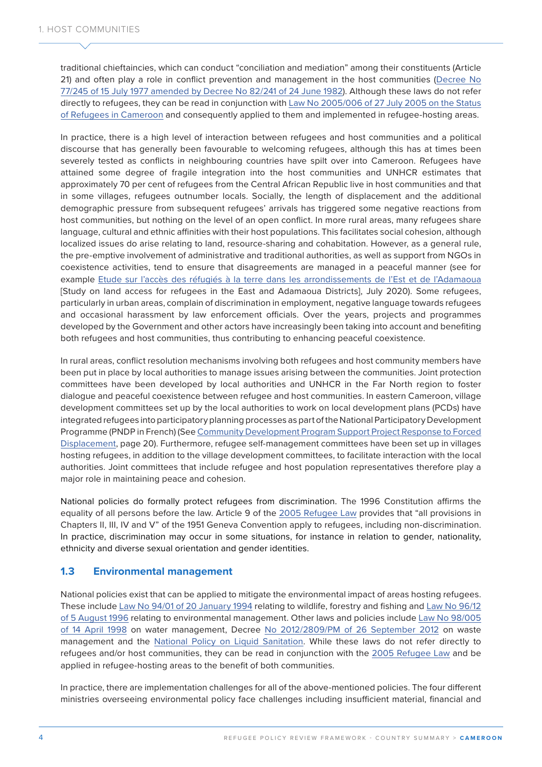traditional chieftaincies, which can conduct "conciliation and mediation" among their constituents (Article 21) and often play a role in conflict prevention and management in the host communities [\(Decree No](https://www.prc.cm/fr/actualites/actes/decrets/4469-decret-n-77-245-du-15-juillet-1977-portant-organisation-des-chefferies-traditionnelles)  [77/245 of 15 July 1977 amended by Decree No 82/241 of 24 June 1982\)](https://www.prc.cm/fr/actualites/actes/decrets/4469-decret-n-77-245-du-15-juillet-1977-portant-organisation-des-chefferies-traditionnelles). Although these laws do not refer directly to refugees, they can be read in conjunction with [Law No 2005/006 of 27 July 2005 on the Status](about:blank)  [of Refugees in Cameroon](about:blank) and consequently applied to them and implemented in refugee-hosting areas.

In practice, there is a high level of interaction between refugees and host communities and a political discourse that has generally been favourable to welcoming refugees, although this has at times been severely tested as conflicts in neighbouring countries have spilt over into Cameroon. Refugees have attained some degree of fragile integration into the host communities and UNHCR estimates that approximately 70 per cent of refugees from the Central African Republic live in host communities and that in some villages, refugees outnumber locals. Socially, the length of displacement and the additional demographic pressure from subsequent refugees' arrivals has triggered some negative reactions from host communities, but nothing on the level of an open conflict. In more rural areas, many refugees share language, cultural and ethnic affinities with their host populations. This facilitates social cohesion, although localized issues do arise relating to land, resource-sharing and cohabitation. However, as a general rule, the pre-emptive involvement of administrative and traditional authorities, as well as support from NGOs in coexistence activities, tend to ensure that disagreements are managed in a peaceful manner (see for example [Etude sur l'accès des réfugiés à la terre dans les arrondissements de l'Est et de l'Adamaoua](https://www.humanitarianresponse.info/sites/www.humanitarianresponse.info/files/assessments/2020_rapport_final_etude_acces_des_refugies_a_la_terre_est_adamaoua.pdf) [Study on land access for refugees in the East and Adamaoua Districts], July 2020). Some refugees, particularly in urban areas, complain of discrimination in employment, negative language towards refugees and occasional harassment by law enforcement officials. Over the years, projects and programmes developed by the Government and other actors have increasingly been taking into account and benefiting both refugees and host communities, thus contributing to enhancing peaceful coexistence.

In rural areas, conflict resolution mechanisms involving both refugees and host community members have been put in place by local authorities to manage issues arising between the communities. Joint protection committees have been developed by local authorities and UNHCR in the Far North region to foster dialogue and peaceful coexistence between refugee and host communities. In eastern Cameroon, village development committees set up by the local authorities to work on local development plans (PCDs) have integrated refugees into participatory planning processes as part of the National Participatory Development Programme (PNDP in French) (See [Community Development Program Support Project Response to Forced](http://documents1.worldbank.org/curated/en/182641525399305603/pdf/CAMEROON-FORCED-DISPLACEMENT-PAD-03302018.pdf)  [Displacement,](http://documents1.worldbank.org/curated/en/182641525399305603/pdf/CAMEROON-FORCED-DISPLACEMENT-PAD-03302018.pdf) page 20). Furthermore, refugee self-management committees have been set up in villages hosting refugees, in addition to the village development committees, to facilitate interaction with the local authorities. Joint committees that include refugee and host population representatives therefore play a major role in maintaining peace and cohesion.

National policies do formally protect refugees from discrimination. The 1996 Constitution affirms the equality of all persons before the law. Article 9 of the [2005 Refugee Law](https://www.refworld.org/pdfid/44eb242e4.pdf) provides that "all provisions in Chapters II, III, IV and V" of the 1951 Geneva Convention apply to refugees, including non-discrimination. In practice, discrimination may occur in some situations, for instance in relation to gender, nationality, ethnicity and diverse sexual orientation and gender identities.

#### **1.3 Environmental management**

National policies exist that can be applied to mitigate the environmental impact of areas hosting refugees. These include [Law No 94/01 of 20 January 1994](https://minepded.gov.cm/wp-content/uploads/2020/01/LAW-NO.9401-OF-20-JANUARY-1994-TO-LAY-DOWN-FORESTRY-WILDLIFE-AND-FISHERIES-REGULATION.pdf) relating to wildlife, forestry and fishing and [Law No 96/12](https://minepded.gov.cm/wp-content/uploads/2020/01/LAW-NO.-9612-OF-05-AUGUST-1996-RELATING-TO-ENVIRONMENTAL-MANAGEMENT.pdf)  [of 5 August 1996](https://minepded.gov.cm/wp-content/uploads/2020/01/LAW-NO.-9612-OF-05-AUGUST-1996-RELATING-TO-ENVIRONMENTAL-MANAGEMENT.pdf) relating to environmental management. Other laws and policies include [Law No 98/005](http://extwprlegs1.fao.org/docs/pdf/cmr33974.pdf)  [of 14 April 1998](http://extwprlegs1.fao.org/docs/pdf/cmr33974.pdf) on water management, Decree [No 2012/2809/PM of 26 September 2012](https://minepded.gov.cm/wp-content/uploads/2020/01/DÉCRET-N°20122809PM-DU-26-SEPTEMBRE-2012-FIXANT-LES-CONDITIONS-DE-TRI-DE-COLLECTE-DE-TRANSPORT-DE-RÉCUPÉRATION-DE-RECYCLAGE-DE-TRAITEMENT-ET-D’ÉLIMINATION-FINALE-DES-DÉCHET.pdf) on waste management and the [National Policy on Liquid Sanitation](https://www.pseau.org/outils/ouvrages/minee_strategie_nationale_d_assainissement_liquide_2011.pdf). While these laws do not refer directly to refugees and/or host communities, they can be read in conjunction with the [2005 Refugee Law](https://www.refworld.org/pdfid/44eb242e4.pdf) and be applied in refugee-hosting areas to the benefit of both communities.

In practice, there are implementation challenges for all of the above-mentioned policies. The four different ministries overseeing environmental policy face challenges including insufficient material, financial and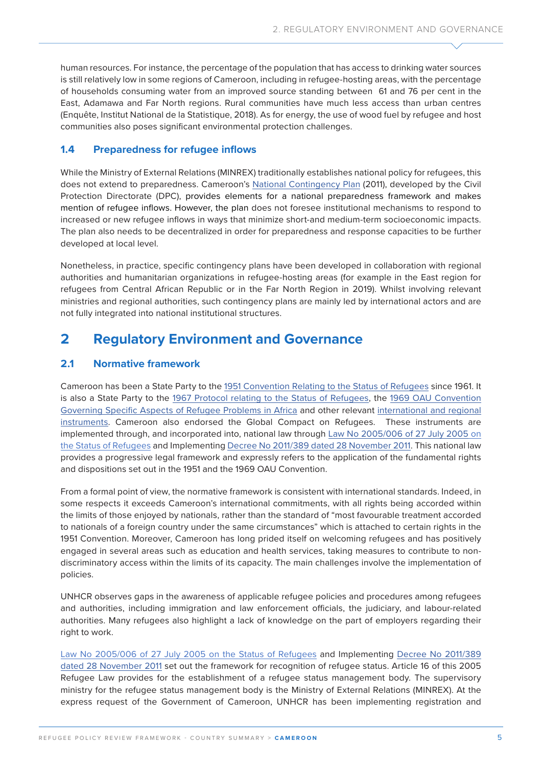human resources. For instance, the percentage of the population that has access to drinking water sources is still relatively low in some regions of Cameroon, including in refugee-hosting areas, with the percentage of households consuming water from an improved source standing between 61 and 76 per cent in the East, Adamawa and Far North regions. Rural communities have much less access than urban centres (Enquête, Institut National de la Statistique, 2018). As for energy, the use of wood fuel by refugee and host communities also poses significant environmental protection challenges.

### **1.4 Preparedness for refugee inflows**

While the Ministry of External Relations (MINREX) traditionally establishes national policy for refugees, this does not extend to preparedness. Cameroon's [National Contingency Plan](http://extwprlegs1.fao.org/docs/pdf/cmr147301.pdf) (2011), developed by the Civil Protection Directorate (DPC), provides elements for a national preparedness framework and makes mention of refugee inflows. However, the plan does not foresee institutional mechanisms to respond to increased or new refugee inflows in ways that minimize short-and medium-term socioeconomic impacts. The plan also needs to be decentralized in order for preparedness and response capacities to be further developed at local level.

Nonetheless, in practice, specific contingency plans have been developed in collaboration with regional authorities and humanitarian organizations in refugee-hosting areas (for example in the East region for refugees from Central African Republic or in the Far North Region in 2019). Whilst involving relevant ministries and regional authorities, such contingency plans are mainly led by international actors and are not fully integrated into national institutional structures.

## **2 Regulatory Environment and Governance**

### **2.1 Normative framework**

Cameroon has been a State Party to the [1951 Convention](https://www.refworld.org/cgi-bin/texis/vtx/rwmain?page=search&docid=3be01b964&skip=0&query=refugee%20convention%201951) Relating to the Status of Refugees since 1961. It is also a State Party to the [1967 Protocol](https://www.refworld.org/docid/3ae6b3ae4.html) relating to the Status of Refugees, the [1969 OAU Convention](https://www.refworld.org/cgi-bin/texis/vtx/rwmain?page=search&docid=3ae6b36018&skip=0&query=Convention%20Governing%20Specific%20Aspects%20of%20Refugee%20Problems%20in%20Africa%20,%201969) Governing Specific Aspects of Refugee Problems in Africa and other relevant [international and regional](https://unhcr365.sharepoint.com/:x:/r/teams/drs-park/_layouts/15/doc2.aspx?sourcedoc=%7B0F3F8AA7-5181-43B1-9C81-05D501F1D3A1%7D&file=Sources_Country_Summaries.xlsb.xlsx&action=default&mobileredirect=true&wdLOR=c1C330AF9-998D-C14A-9AEF-ED57CC065833&cid=d65e2d68-e6f9-4c7e-be80-7ed6fb8eafdd)  [instruments.](https://unhcr365.sharepoint.com/:x:/r/teams/drs-park/_layouts/15/doc2.aspx?sourcedoc=%7B0F3F8AA7-5181-43B1-9C81-05D501F1D3A1%7D&file=Sources_Country_Summaries.xlsb.xlsx&action=default&mobileredirect=true&wdLOR=c1C330AF9-998D-C14A-9AEF-ED57CC065833&cid=d65e2d68-e6f9-4c7e-be80-7ed6fb8eafdd) Cameroon also endorsed the Global Compact on Refugees. These instruments are implemented through, and incorporated into, national law through [Law No 2005/006 of 27 July 2005](https://www.refworld.org/cgi-bin/texis/vtx/rwmain?docid=44eb242e4) on the Status of Refugees and Implementing [Decree No 2011/389 dated 28 November 2011](https://www.refworld.org/docid/4f0efbfb2.html). This national law provides a progressive legal framework and expressly refers to the application of the fundamental rights and dispositions set out in the 1951 and the 1969 OAU Convention.

From a formal point of view, the normative framework is consistent with international standards. Indeed, in some respects it exceeds Cameroon's international commitments, with all rights being accorded within the limits of those enjoyed by nationals, rather than the standard of "most favourable treatment accorded to nationals of a foreign country under the same circumstances" which is attached to certain rights in the 1951 Convention. Moreover, Cameroon has long prided itself on welcoming refugees and has positively engaged in several areas such as education and health services, taking measures to contribute to nondiscriminatory access within the limits of its capacity. The main challenges involve the implementation of policies.

UNHCR observes gaps in the awareness of applicable refugee policies and procedures among refugees and authorities, including immigration and law enforcement officials, the judiciary, and labour-related authorities. Many refugees also highlight a lack of knowledge on the part of employers regarding their right to work.

[Law No 2005/006 of 27 July 2005](https://www.refworld.org/cgi-bin/texis/vtx/rwmain?docid=44eb242e4) on the Status of Refugees and Implementing [Decree No 2011/389](https://www.refworld.org/docid/4f0efbfb2.html)  [dated 28 November 2011](https://www.refworld.org/docid/4f0efbfb2.html) set out the framework for recognition of refugee status. Article 16 of this 2005 Refugee Law provides for the establishment of a refugee status management body. The supervisory ministry for the refugee status management body is the Ministry of External Relations (MINREX). At the express request of the Government of Cameroon, UNHCR has been implementing registration and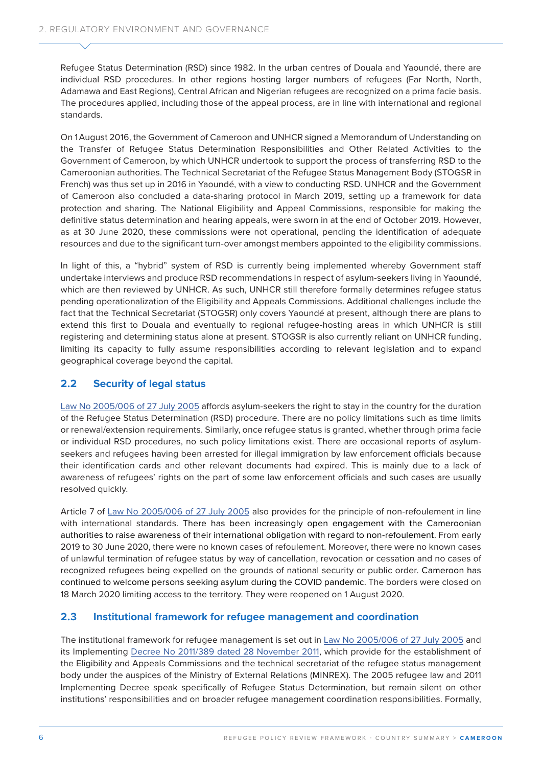Refugee Status Determination (RSD) since 1982. In the urban centres of Douala and Yaoundé, there are individual RSD procedures. In other regions hosting larger numbers of refugees (Far North, North, Adamawa and East Regions), Central African and Nigerian refugees are recognized on a prima facie basis. The procedures applied, including those of the appeal process, are in line with international and regional standards.

On 1August 2016, the Government of Cameroon and UNHCR signed a Memorandum of Understanding on the Transfer of Refugee Status Determination Responsibilities and Other Related Activities to the Government of Cameroon, by which UNHCR undertook to support the process of transferring RSD to the Cameroonian authorities. The Technical Secretariat of the Refugee Status Management Body (STOGSR in French) was thus set up in 2016 in Yaoundé, with a view to conducting RSD. UNHCR and the Government of Cameroon also concluded a data-sharing protocol in March 2019, setting up a framework for data protection and sharing. The National Eligibility and Appeal Commissions, responsible for making the definitive status determination and hearing appeals, were sworn in at the end of October 2019. However, as at 30 June 2020, these commissions were not operational, pending the identification of adequate resources and due to the significant turn-over amongst members appointed to the eligibility commissions.

In light of this, a "hybrid" system of RSD is currently being implemented whereby Government staff undertake interviews and produce RSD recommendations in respect of asylum-seekers living in Yaoundé, which are then reviewed by UNHCR. As such, UNHCR still therefore formally determines refugee status pending operationalization of the Eligibility and Appeals Commissions. Additional challenges include the fact that the Technical Secretariat (STOGSR) only covers Yaoundé at present, although there are plans to extend this first to Douala and eventually to regional refugee-hosting areas in which UNHCR is still registering and determining status alone at present. STOGSR is also currently reliant on UNHCR funding, limiting its capacity to fully assume responsibilities according to relevant legislation and to expand geographical coverage beyond the capital.

### **2.2 Security of legal status**

[Law No 2005/006 of 27 July 2005](https://www.refworld.org/cgi-bin/texis/vtx/rwmain?docid=44eb242e4) affords asylum-seekers the right to stay in the country for the duration of the Refugee Status Determination (RSD) procedure. There are no policy limitations such as time limits or renewal/extension requirements. Similarly, once refugee status is granted, whether through prima facie or individual RSD procedures, no such policy limitations exist. There are occasional reports of asylumseekers and refugees having been arrested for illegal immigration by law enforcement officials because their identification cards and other relevant documents had expired. This is mainly due to a lack of awareness of refugees' rights on the part of some law enforcement officials and such cases are usually resolved quickly.

Article 7 of [Law No 2005/006 of 27 July 2005](https://www.refworld.org/cgi-bin/texis/vtx/rwmain?docid=44eb242e4) also provides for the principle of non-refoulement in line with international standards. There has been increasingly open engagement with the Cameroonian authorities to raise awareness of their international obligation with regard to non-refoulement. From early 2019 to 30 June 2020, there were no known cases of refoulement. Moreover, there were no known cases of unlawful termination of refugee status by way of cancellation, revocation or cessation and no cases of recognized refugees being expelled on the grounds of national security or public order. Cameroon has continued to welcome persons seeking asylum during the COVID pandemic. The borders were closed on 18 March 2020 limiting access to the territory. They were reopened on 1 August 2020.

#### **2.3 Institutional framework for refugee management and coordination**

The institutional framework for refugee management is set out in [Law No 2005/006 of 27 July 2005](https://www.refworld.org/cgi-bin/texis/vtx/rwmain?docid=44eb242e4) and its Implementing [Decree No 2011/389 dated 28 November 2011,](https://www.refworld.org/docid/4f0efbfb2.html) which provide for the establishment of the Eligibility and Appeals Commissions and the technical secretariat of the refugee status management body under the auspices of the Ministry of External Relations (MINREX). The 2005 refugee law and 2011 Implementing Decree speak specifically of Refugee Status Determination, but remain silent on other institutions' responsibilities and on broader refugee management coordination responsibilities. Formally,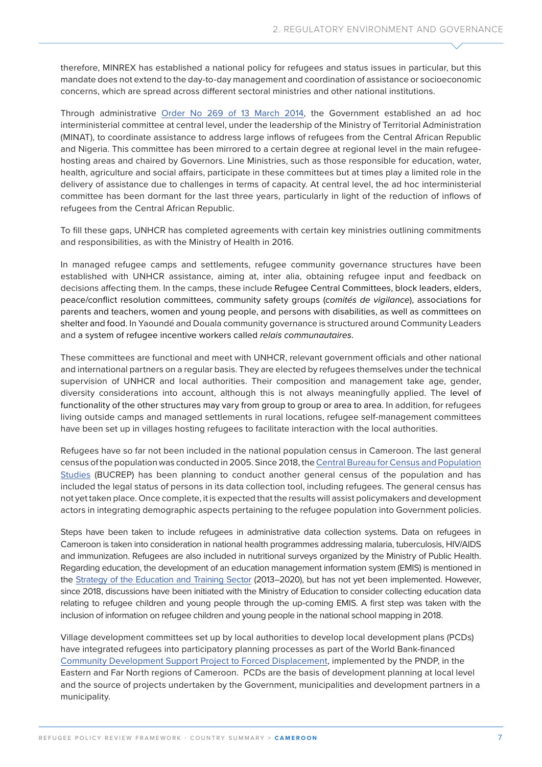therefore, MINREX has established a national policy for refugees and status issues in particular, but this mandate does not extend to the day-to-day management and coordination of assistance or socioeconomic concerns, which are spread across different sectoral ministries and other national institutions.

Through administrative [Order No 269 of 13 March 2014,](https://www.prc.cm/fr/multimedia/documents/1610-arrete-n-269-du-13-mars-2014-creation-comite-gestion-refugies) the Government established an ad hoc interministerial committee at central level, under the leadership of the Ministry of Territorial Administration (MINAT), to coordinate assistance to address large inflows of refugees from the Central African Republic and Nigeria. This committee has been mirrored to a certain degree at regional level in the main refugeehosting areas and chaired by Governors. Line Ministries, such as those responsible for education, water, health, agriculture and social affairs, participate in these committees but at times play a limited role in the delivery of assistance due to challenges in terms of capacity. At central level, the ad hoc interministerial committee has been dormant for the last three years, particularly in light of the reduction of inflows of refugees from the Central African Republic.

To fill these gaps, UNHCR has completed agreements with certain key ministries outlining commitments and responsibilities, as with the Ministry of Health in 2016.

In managed refugee camps and settlements, refugee community governance structures have been established with UNHCR assistance, aiming at, inter alia, obtaining refugee input and feedback on decisions affecting them. In the camps, these include Refugee Central Committees, block leaders, elders, peace/conflict resolution committees, community safety groups (*comités de vigilance*), associations for parents and teachers, women and young people, and persons with disabilities, as well as committees on shelter and food. In Yaoundé and Douala community governance is structured around Community Leaders and a system of refugee incentive workers called *relais communautaires*.

These committees are functional and meet with UNHCR, relevant government officials and other national and international partners on a regular basis. They are elected by refugees themselves under the technical supervision of UNHCR and local authorities. Their composition and management take age, gender, diversity considerations into account, although this is not always meaningfully applied. The level of functionality of the other structures may vary from group to group or area to area. In addition, for refugees living outside camps and managed settlements in rural locations, refugee self-management committees have been set up in villages hosting refugees to facilitate interaction with the local authorities.

Refugees have so far not been included in the national population census in Cameroon. The last general census of the population was conducted in 2005. Since 2018, the [Central Bureau for Census and Population](http://www.bucrep.cm/index.php/fr/)  [Studies](http://www.bucrep.cm/index.php/fr/) (BUCREP) has been planning to conduct another general census of the population and has included the legal status of persons in its data collection tool, including refugees. The general census has not yet taken place. Once complete, it is expected that the results will assist policymakers and development actors in integrating demographic aspects pertaining to the refugee population into Government policies.

Steps have been taken to include refugees in administrative data collection systems. Data on refugees in Cameroon is taken into consideration in national health programmes addressing malaria, tuberculosis, HIV/AIDS and immunization. Refugees are also included in nutritional surveys organized by the Ministry of Public Health. Regarding education, the development of an education management information system (EMIS) is mentioned in the [Strategy of the Education and Training Sector](https://www.globalpartnership.org/sites/default/files/2015_02_cameroon_education_sector_plan.pdf) (2013–2020), but has not yet been implemented. However, since 2018, discussions have been initiated with the Ministry of Education to consider collecting education data relating to refugee children and young people through the up-coming EMIS. A first step was taken with the inclusion of information on refugee children and young people in the national school mapping in 2018.

Village development committees set up by local authorities to develop local development plans (PCDs) have integrated refugees into participatory planning processes as part of the World Bank-financed [Community Development Support Project to Forced Displacement,](http://documents1.worldbank.org/curated/en/182641525399305603/pdf/CAMEROON-FORCED-DISPLACEMENT-PAD-03302018.pdf) implemented by the PNDP, in the Eastern and Far North regions of Cameroon. PCDs are the basis of development planning at local level and the source of projects undertaken by the Government, municipalities and development partners in a municipality.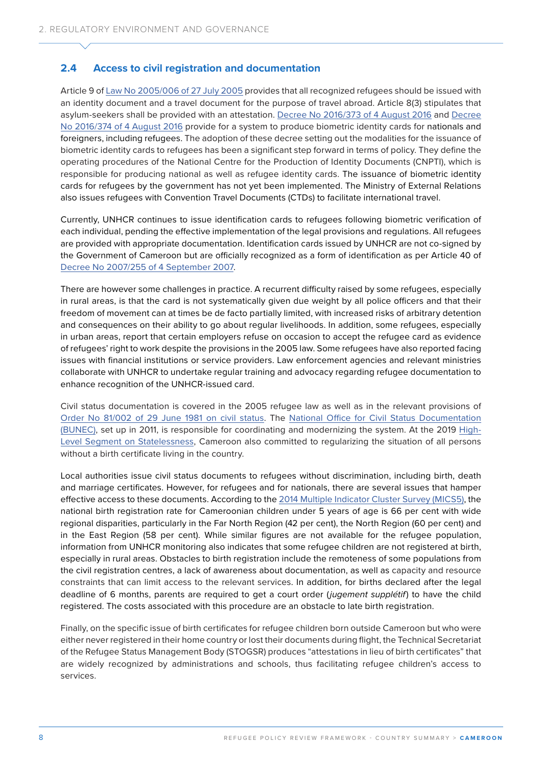### **2.4 Access to civil registration and documentation**

Article 9 of [Law No 2005/006 of 27 July 2005](https://www.refworld.org/cgi-bin/texis/vtx/rwmain?docid=44eb242e4) provides that all recognized refugees should be issued with an identity document and a travel document for the purpose of travel abroad. Article 8(3) stipulates that asylum-seekers shall be provided with an attestation. [Decree No 2016/373 of 4 August 2016](https://www.prc.cm/fr/actualites/actes/decrets/1879-decret-n-2016-373-du-04-aout-2016-modifiant-et-completant-certaines-dispositions-du-decret-n-2007-255-du-04-septembre-2007-fixant-les-modalites-d-application-de-la-loi-n-97-012-du-10-janvier-1997-relative-aux-conditions-d-entree-de-sejour-et-de-sortie-des) and [Decree](https://www.prc.cm/fr/multimedia/documents/4763-decret-n-2016-374-du-4-08-2016-organisation-et-fonction-cnpti)  [No 2016/374 of 4 August 2016](https://www.prc.cm/fr/multimedia/documents/4763-decret-n-2016-374-du-4-08-2016-organisation-et-fonction-cnpti) provide for a system to produce biometric identity cards for nationals and foreigners, including refugees. The adoption of these decree setting out the modalities for the issuance of biometric identity cards to refugees has been a significant step forward in terms of policy. They define the operating procedures of the National Centre for the Production of Identity Documents (CNPTI), which is responsible for producing national as well as refugee identity cards. The issuance of biometric identity cards for refugees by the government has not yet been implemented. The Ministry of External Relations also issues refugees with Convention Travel Documents (CTDs) to facilitate international travel.

Currently, UNHCR continues to issue identification cards to refugees following biometric verification of each individual, pending the effective implementation of the legal provisions and regulations. All refugees are provided with appropriate documentation. Identification cards issued by UNHCR are not co-signed by the Government of Cameroon but are officially recognized as a form of identification as per Article 40 of [Decree No 2007/255 of 4 September 2007.](https://www.ilo.org/dyn/natlex/docs/ELECTRONIC/83979/118121/F865098694/CMR-83979.pdf)

There are however some challenges in practice. A recurrent difficulty raised by some refugees, especially in rural areas, is that the card is not systematically given due weight by all police officers and that their freedom of movement can at times be de facto partially limited, with increased risks of arbitrary detention and consequences on their ability to go about regular livelihoods. In addition, some refugees, especially in urban areas, report that certain employers refuse on occasion to accept the refugee card as evidence of refugees' right to work despite the provisions in the 2005 law. Some refugees have also reported facing issues with financial institutions or service providers. Law enforcement agencies and relevant ministries collaborate with UNHCR to undertake regular training and advocacy regarding refugee documentation to enhance recognition of the UNHCR-issued card.

Civil status documentation is covered in the 2005 refugee law as well as in the relevant provisions of [Order No 81/002 of 29 June 1981](https://www.refworld.org/cgi-bin/texis/vtx/rwmain?docid=54c224634) on civil status. The [National Office for Civil Status Documentation](http://www.bunec.cm/)  [\(BUNEC\)](http://www.bunec.cm/), set up in 2011, is responsible for coordinating and modernizing the system. At the 2019 [High-](https://www.unhcr.org/ibelong/results-of-the-high-level-segment-on-statelessness/)[Level Segment on Statelessness,](https://www.unhcr.org/ibelong/results-of-the-high-level-segment-on-statelessness/) Cameroon also committed to regularizing the situation of all persons without a birth certificate living in the country.

Local authorities issue civil status documents to refugees without discrimination, including birth, death and marriage certificates. However, for refugees and for nationals, there are several issues that hamper effective access to these documents. According to the [2014 Multiple Indicator Cluster Survey \(MICS5\),](http://onsp.minsante.cm/fr/publication/256/mics5-rapport-de-résultats-clés) the national birth registration rate for Cameroonian children under 5 years of age is 66 per cent with wide regional disparities, particularly in the Far North Region (42 per cent), the North Region (60 per cent) and in the East Region (58 per cent). While similar figures are not available for the refugee population, information from UNHCR monitoring also indicates that some refugee children are not registered at birth, especially in rural areas. Obstacles to birth registration include the remoteness of some populations from the civil registration centres, a lack of awareness about documentation, as well as capacity and resource constraints that can limit access to the relevant services. In addition, for births declared after the legal deadline of 6 months, parents are required to get a court order (*jugement supplétif*) to have the child registered. The costs associated with this procedure are an obstacle to late birth registration.

Finally, on the specific issue of birth certificates for refugee children born outside Cameroon but who were either never registered in their home country or lost their documents during flight, the Technical Secretariat of the Refugee Status Management Body (STOGSR) produces "attestations in lieu of birth certificates" that are widely recognized by administrations and schools, thus facilitating refugee children's access to services.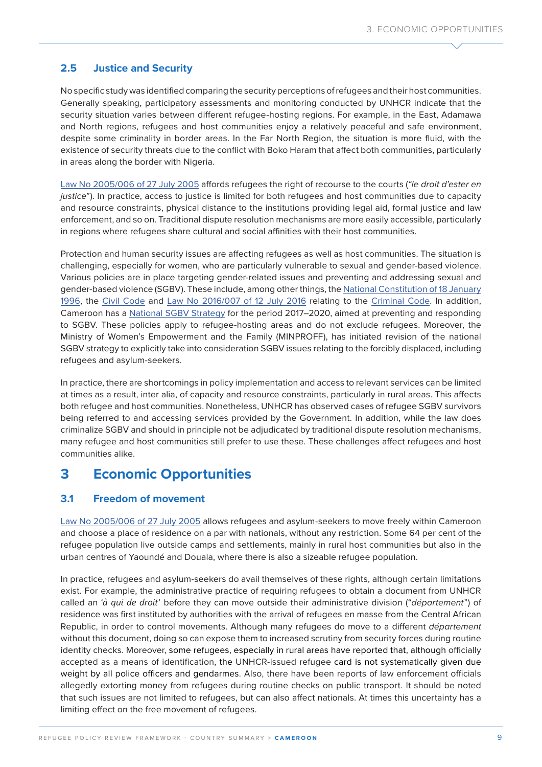### **2.5 Justice and Security**

No specific study was identified comparing the security perceptions of refugees and their host communities. Generally speaking, participatory assessments and monitoring conducted by UNHCR indicate that the security situation varies between different refugee-hosting regions. For example, in the East, Adamawa and North regions, refugees and host communities enjoy a relatively peaceful and safe environment, despite some criminality in border areas. In the Far North Region, the situation is more fluid, with the existence of security threats due to the conflict with Boko Haram that affect both communities, particularly in areas along the border with Nigeria.

[Law No 2005/006 of 27 July 2005](https://www.refworld.org/cgi-bin/texis/vtx/rwmain?docid=44eb242e4) affords refugees the right of recourse to the courts (*"le droit d'ester en justice*"). In practice, access to justice is limited for both refugees and host communities due to capacity and resource constraints, physical distance to the institutions providing legal aid, formal justice and law enforcement, and so on. Traditional dispute resolution mechanisms are more easily accessible, particularly in regions where refugees share cultural and social affinities with their host communities.

Protection and human security issues are affecting refugees as well as host communities. The situation is challenging, especially for women, who are particularly vulnerable to sexual and gender-based violence. Various policies are in place targeting gender-related issues and preventing and addressing sexual and gender-based violence (SGBV). These include, among other things, the [National Constitution of 18 January](https://www.prc.cm/en/cameroon/constitution)  [1996](https://www.prc.cm/en/cameroon/constitution), the [Civil Code](http://www.mintp.cm/uploads/Textes%20Géneraux/TEXTES%20PORTEE%20GENERALE/CODE%20CIVIL%20CAMEROUNAIS.pdf) and [Law No 2016/007 of 12 July 2016](https://www.prc.cm/fr/multimedia/documents/4722-loi-2016-007-du-12-juillet-2016-portant-code-penal-fr) relating to the [Criminal Code](https://www.prc.cm/fr/multimedia/documents/4722-loi-2016-007-du-12-juillet-2016-portant-code-penal-fr). In addition, Cameroon has a [National SGBV Strategy](http://www.minproff.cm/wp-content/uploads/2015/05/STRATEGIE-NATIONALE-CONTRE-LES-VBG-2017-2020.pdf) for the period 2017–2020, aimed at preventing and responding to SGBV. These policies apply to refugee-hosting areas and do not exclude refugees. Moreover, the Ministry of Women's Empowerment and the Family (MINPROFF), has initiated revision of the national SGBV strategy to explicitly take into consideration SGBV issues relating to the forcibly displaced, including refugees and asylum-seekers.

In practice, there are shortcomings in policy implementation and access to relevant services can be limited at times as a result, inter alia, of capacity and resource constraints, particularly in rural areas. This affects both refugee and host communities. Nonetheless, UNHCR has observed cases of refugee SGBV survivors being referred to and accessing services provided by the Government. In addition, while the law does criminalize SGBV and should in principle not be adjudicated by traditional dispute resolution mechanisms, many refugee and host communities still prefer to use these. These challenges affect refugees and host communities alike.

### **3 Economic Opportunities**

#### **3.1 Freedom of movement**

[Law No 2005/006 of 27 July 2005](https://www.refworld.org/cgi-bin/texis/vtx/rwmain?docid=44eb242e4) allows refugees and asylum-seekers to move freely within Cameroon and choose a place of residence on a par with nationals, without any restriction. Some 64 per cent of the refugee population live outside camps and settlements, mainly in rural host communities but also in the urban centres of Yaoundé and Douala, where there is also a sizeable refugee population.

In practice, refugees and asylum-seekers do avail themselves of these rights, although certain limitations exist. For example, the administrative practice of requiring refugees to obtain a document from UNHCR called an '*à qui de droit*' before they can move outside their administrative division ("*département*") of residence was first instituted by authorities with the arrival of refugees en masse from the Central African Republic, in order to control movements. Although many refugees do move to a different *département*  without this document, doing so can expose them to increased scrutiny from security forces during routine identity checks. Moreover, some refugees, especially in rural areas have reported that, although officially accepted as a means of identification, the UNHCR-issued refugee card is not systematically given due weight by all police officers and gendarmes. Also, there have been reports of law enforcement officials allegedly extorting money from refugees during routine checks on public transport. It should be noted that such issues are not limited to refugees, but can also affect nationals. At times this uncertainty has a limiting effect on the free movement of refugees.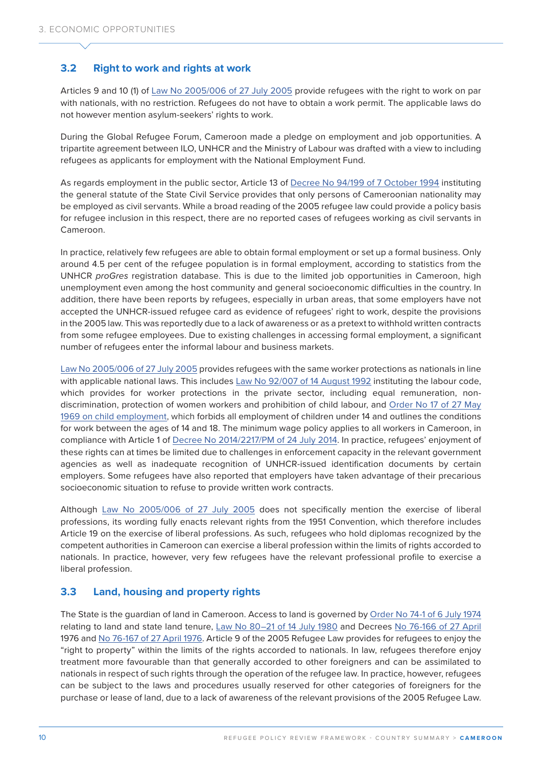### **3.2 Right to work and rights at work**

Articles 9 and 10 (1) of [Law No 2005/006 of 27 July 2005](https://www.refworld.org/cgi-bin/texis/vtx/rwmain?docid=44eb242e4) provide refugees with the right to work on par with nationals, with no restriction. Refugees do not have to obtain a work permit. The applicable laws do not however mention asylum-seekers' rights to work.

During the Global Refugee Forum, Cameroon made a pledge on employment and job opportunities. A tripartite agreement between ILO, UNHCR and the Ministry of Labour was drafted with a view to including refugees as applicants for employment with the National Employment Fund.

As regards employment in the public sector, Article 13 of [Decree No 94/199 of 7 October 1994](https://www.minfopra.gov.cm/recueil/fichiers%20word/DECRET%20N°%2094-199%20DU%2007%20OCTOBRE%201994.pdf) instituting the general statute of the State Civil Service provides that only persons of Cameroonian nationality may be employed as civil servants. While a broad reading of the 2005 refugee law could provide a policy basis for refugee inclusion in this respect, there are no reported cases of refugees working as civil servants in Cameroon.

In practice, relatively few refugees are able to obtain formal employment or set up a formal business. Only around 4.5 per cent of the refugee population is in formal employment, according to statistics from the UNHCR *proGres* registration database. This is due to the limited job opportunities in Cameroon, high unemployment even among the host community and general socioeconomic difficulties in the country. In addition, there have been reports by refugees, especially in urban areas, that some employers have not accepted the UNHCR-issued refugee card as evidence of refugees' right to work, despite the provisions in the 2005 law. This was reportedly due to a lack of awareness or as a pretext to withhold written contracts from some refugee employees. Due to existing challenges in accessing formal employment, a significant number of refugees enter the informal labour and business markets.

[Law No 2005/006 of 27 July 2005](https://www.refworld.org/cgi-bin/texis/vtx/rwmain?docid=44eb242e4) provides refugees with the same worker protections as nationals in line with applicable national laws. This includes [Law No 92/007 of 14 August 1992](https://www.ilo.org/dyn/natlex/docs/WEBTEXT/31629/64868/F92CMR01.htm) instituting the labour code, which provides for worker protections in the private sector, including equal remuneration, nondiscrimination, protection of women workers and prohibition of child labour, and [Order No 17 of 27 May](https://www.ilo.org/dyn/natlex/docs/SERIAL/17964/15795/F1498839332/CMR-17964.pdf)  [1969 on child employment](https://www.ilo.org/dyn/natlex/docs/SERIAL/17964/15795/F1498839332/CMR-17964.pdf), which forbids all employment of children under 14 and outlines the conditions for work between the ages of 14 and 18. The minimum wage policy applies to all workers in Cameroon, in compliance with Article 1 of [Decree No 2014/2217/PM of 24 July 2014](https://www.spm.gov.cm/site/?q=fr/content/décret-n°-20142217pm-du-24-juillet-2014-portant-revalorisation-du-salaire-minimum). In practice, refugees' enjoyment of these rights can at times be limited due to challenges in enforcement capacity in the relevant government agencies as well as inadequate recognition of UNHCR-issued identification documents by certain employers. Some refugees have also reported that employers have taken advantage of their precarious socioeconomic situation to refuse to provide written work contracts.

Although [Law No 2005/006 of 27 July 2005](https://www.refworld.org/cgi-bin/texis/vtx/rwmain?docid=44eb242e4) does not specifically mention the exercise of liberal professions, its wording fully enacts relevant rights from the 1951 Convention, which therefore includes Article 19 on the exercise of liberal professions. As such, refugees who hold diplomas recognized by the competent authorities in Cameroon can exercise a liberal profession within the limits of rights accorded to nationals. In practice, however, very few refugees have the relevant professional profile to exercise a liberal profession.

### **3.3 Land, housing and property rights**

The State is the guardian of land in Cameroon. Access to land is governed by [Order No 74-1 of 6 July 1974](https://garoua.eregulations.org/media/ordonnance_fixant_regime_foncier_cameroun.pdf) relating to land and state land tenure, Law No 80-21 of 14 July 1980 and Decrees [No 76-166 of 27 April](https://yaounde.eregulations.org/media/Décret%2076-166%20au%2027%20avril%201976%20fixant%20les%20modalités%20de%20gestion%20du%20domaine%20national.pdf) 1976 and [No 76-167 of 27 April 1976](https://garoua.eregulations.org/media/décret%2076-167%20du%2027%20avril%201976%20-%20gestion%20du%20domaine%20privé%20de%20l%27Etat.pdf). Article 9 of the 2005 Refugee Law provides for refugees to enjoy the "right to property" within the limits of the rights accorded to nationals. In law, refugees therefore enjoy treatment more favourable than that generally accorded to other foreigners and can be assimilated to nationals in respect of such rights through the operation of the refugee law. In practice, however, refugees can be subject to the laws and procedures usually reserved for other categories of foreigners for the purchase or lease of land, due to a lack of awareness of the relevant provisions of the 2005 Refugee Law.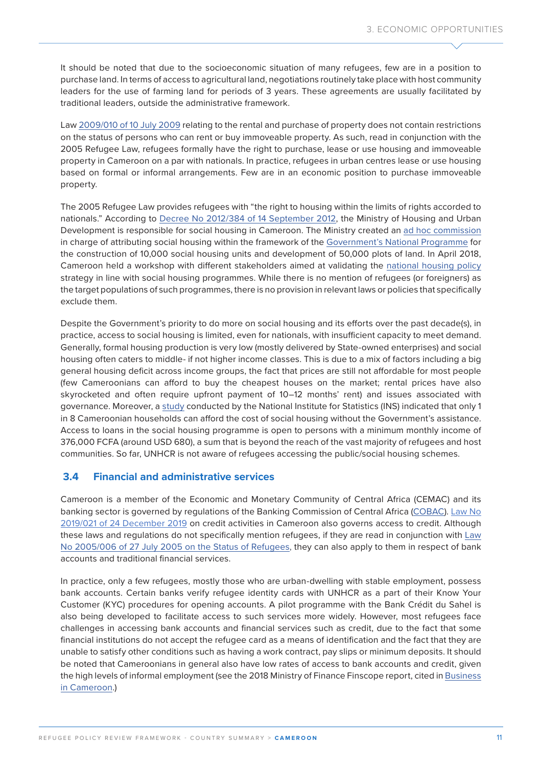It should be noted that due to the socioeconomic situation of many refugees, few are in a position to purchase land. In terms of access to agricultural land, negotiations routinely take place with host community leaders for the use of farming land for periods of 3 years. These agreements are usually facilitated by traditional leaders, outside the administrative framework.

Law [2009/010 of 10 July 2009](http://mail.minhdu.cm/documents/decret_2009_1727_pm_du_04_09_2009.pdf) relating to the rental and purchase of property does not contain restrictions on the status of persons who can rent or buy immoveable property. As such, read in conjunction with the 2005 Refugee Law, refugees formally have the right to purchase, lease or use housing and immoveable property in Cameroon on a par with nationals. In practice, refugees in urban centres lease or use housing based on formal or informal arrangements. Few are in an economic position to purchase immoveable property.

The 2005 Refugee Law provides refugees with "the right to housing within the limits of rights accorded to nationals." According to [Decree No 2012/384 of 14 September 2012](http://extwprlegs1.fao.org/docs/pdf/cnr141895.pdf), the Ministry of Housing and Urban Development is responsible for social housing in Cameroon. The Ministry created an [ad hoc commission](http://www.minhdu.gov.cm/index.php?option=com_docman&task=doc_download&gid=45&Itemid=200007&lang=fr) in charge of attributing social housing within the framework of the [Government's National Programme](http://www.minhdu.gov.cm/index.php?option=com_content&view=article&id=720%3Anote-de-presentation-du-programme-gouvernemental-de-construction-des-logements-sociaux-et-damenagement-des-parcelles-constructibles&catid=116%3Aprogramme-gouvernemental-10000-logements&Itemid=200038&lang=fr) for the construction of 10,000 social housing units and development of 50,000 plots of land. In April 2018, Cameroon held a workshop with different stakeholders aimed at validating the [national housing policy](http://www.minhdu.gov.cm/index.php?option=com_content&view=article&id=1161%3A2018-03-27-08-08-42&catid=1%3Aactualites&Itemid=200040&lang=fr) strategy in line with social housing programmes. While there is no mention of refugees (or foreigners) as the target populations of such programmes, there is no provision in relevant laws or policies that specifically exclude them.

Despite the Government's priority to do more on social housing and its efforts over the past decade(s), in practice, access to social housing is limited, even for nationals, with insufficient capacity to meet demand. Generally, formal housing production is very low (mostly delivered by State-owned enterprises) and social housing often caters to middle- if not higher income classes. This is due to a mix of factors including a big general housing deficit across income groups, the fact that prices are still not affordable for most people (few Cameroonians can afford to buy the cheapest houses on the market; rental prices have also skyrocketed and often require upfront payment of 10–12 months' rent) and issues associated with governance. Moreover, a [study](https://www.cameroon-tribune.cm/article.html/33715/fr.html/acces-aux-logements-sociaux-la-situation-au-cameroun-passee-en-revue) conducted by the National Institute for Statistics (INS) indicated that only 1 in 8 Cameroonian households can afford the cost of social housing without the Government's assistance. Access to loans in the social housing programme is open to persons with a minimum monthly income of 376,000 FCFA (around USD 680), a sum that is beyond the reach of the vast majority of refugees and host communities. So far, UNHCR is not aware of refugees accessing the public/social housing schemes.

### **3.4 Financial and administrative services**

Cameroon is a member of the Economic and Monetary Community of Central Africa (CEMAC) and its banking sector is governed by regulations of the Banking Commission of Central Africa [\(COBAC](http://www.ecerber.org/documents/TEXT00005.PDF)). Law No [2019/021 of 24 December](https://www.prc.cm/en/multimedia/documents/8029-law-2019-021-of-24-december-2019) 2019 on credit activities in Cameroon also governs access to credit. Although these laws and regulations do not specifically mention refugees, if they are read in conjunction with Law [No 2005/006 of 27 July 2005 on the Status of Refugees](https://www.refworld.org/pdfid/44eb242e4.pdf), they can also apply to them in respect of bank accounts and traditional financial services.

In practice, only a few refugees, mostly those who are urban-dwelling with stable employment, possess bank accounts. Certain banks verify refugee identity cards with UNHCR as a part of their Know Your Customer (KYC) procedures for opening accounts. A pilot programme with the Bank Crédit du Sahel is also being developed to facilitate access to such services more widely. However, most refugees face challenges in accessing bank accounts and financial services such as credit, due to the fact that some financial institutions do not accept the refugee card as a means of identification and the fact that they are unable to satisfy other conditions such as having a work contract, pay slips or minimum deposits. It should be noted that Cameroonians in general also have low rates of access to bank accounts and credit, given the high levels of informal employment (see the 2018 Ministry of Finance Finscope report, cited in [Business](https://www.businessincameroon.com/finance/2809-8400-in-2017-only-10-of-cameroonians-aged-15-and-older-had-bank-accounts-minfi)  [in Cameroon.](https://www.businessincameroon.com/finance/2809-8400-in-2017-only-10-of-cameroonians-aged-15-and-older-had-bank-accounts-minfi))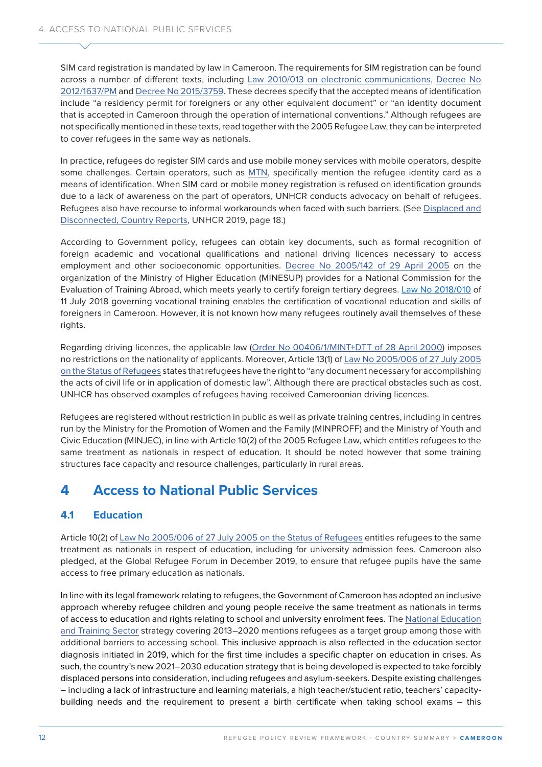SIM card registration is mandated by law in Cameroon. The requirements for SIM registration can be found across a number of different texts, including [Law 2010/013 on electronic communications](http://www.art.cm/sites/default/files/documents/Loi_2010-013_communications_electroniques.pdf), [Decree No](http://165.73.158.31:81/case_study/n-2012-1637-pm-du-14-juin-2012-fixant-les-modalites-didentifications-des-abonnes-et-terminaux/)  [2012/1637/](http://165.73.158.31:81/case_study/n-2012-1637-pm-du-14-juin-2012-fixant-les-modalites-didentifications-des-abonnes-et-terminaux/)PM and [Decree No 2015/3759.](http://www.art.cm/sites/default/files/documents/Decret%20%202015_3759%20du%2003%20sept%202015%20fixant%20les%20modalités%20d_identification%20des%20abonnés.pdf) These decrees specify that the accepted means of identification include "a residency permit for foreigners or any other equivalent document" or "an identity document that is accepted in Cameroon through the operation of international conventions." Although refugees are not specifically mentioned in these texts, read together with the 2005 Refugee Law, they can be interpreted to cover refugees in the same way as nationals.

In practice, refugees do register SIM cards and use mobile money services with mobile operators, despite some challenges. Certain operators, such as [MTN](https://support.mtn.cm/fr/support/solutions/articles/44000953060-tout-savoir-sur-l-identification), specifically mention the refugee identity card as a means of identification. When SIM card or mobile money registration is refused on identification grounds due to a lack of awareness on the part of operators, UNHCR conducts advocacy on behalf of refugees. Refugees also have recourse to informal workarounds when faced with such barriers. (See [Displaced and](https://www.unhcr.org/innovation/wp-content/uploads/2019/04/Country-Reports-WEB.pdf)  [Disconnected, Country Reports](https://www.unhcr.org/innovation/wp-content/uploads/2019/04/Country-Reports-WEB.pdf), UNHCR 2019, page 18.)

According to Government policy, refugees can obtain key documents, such as formal recognition of foreign academic and vocational qualifications and national driving licences necessary to access employment and other socioeconomic opportunities. [Decree No 2005/142 of 29 April 2005](https://www.spm.gov.cm/site/?q=en/node/573) on the organization of the Ministry of Higher Education (MINESUP) provides for a National Commission for the Evaluation of Training Abroad, which meets yearly to certify foreign tertiary degrees. [Law No 2018/010](https://www.prc.cm/en/multimedia/documents/6582-law-n-2018-010-of-11-july-2018-governing-vocational-training-in-cameroon) of 11 July 2018 governing vocational training enables the certification of vocational education and skills of foreigners in Cameroon. However, it is not known how many refugees routinely avail themselves of these rights.

Regarding driving licences, the applicable law ([Order No 00406/1/MINT+DTT of 28 April 2000\)](http://mint.gov.cm/Fr/images/dtt/CONTENUEDUPROGRAMMECOMPOSITIONDESEPREUVESETMODALITESDEDELIBERATIONDEEXAMENDUPERMISDECONDUIRE.pdf) imposes no restrictions on the nationality of applicants. Moreover, Article 13(1) of [Law No 2005/006 of 27 July 2005](https://www.refworld.org/pdfid/44eb242e4.pdf)  [on the Status of Refugees](https://www.refworld.org/pdfid/44eb242e4.pdf) states that refugees have the right to "any document necessary for accomplishing the acts of civil life or in application of domestic law". Although there are practical obstacles such as cost, UNHCR has observed examples of refugees having received Cameroonian driving licences.

Refugees are registered without restriction in public as well as private training centres, including in centres run by the Ministry for the Promotion of Women and the Family (MINPROFF) and the Ministry of Youth and Civic Education (MINJEC), in line with Article 10(2) of the 2005 Refugee Law, which entitles refugees to the same treatment as nationals in respect of education. It should be noted however that some training structures face capacity and resource challenges, particularly in rural areas.

## **4 Access to National Public Services**

### **4.1 Education**

Article 10(2) of [Law No 2005/006 of 27 July 2005 on the Status of Refugees](https://www.refworld.org/pdfid/44eb242e4.pdf) entitles refugees to the same treatment as nationals in respect of education, including for university admission fees. Cameroon also pledged, at the Global Refugee Forum in December 2019, to ensure that refugee pupils have the same access to free primary education as nationals.

In line with its legal framework relating to refugees, the Government of Cameroon has adopted an inclusive approach whereby refugee children and young people receive the same treatment as nationals in terms of access to education and rights relating to school and university enrolment fees. The [National Education](file:///C:\Users\CISSE\AppData\Local\Microsoft\Windows\INetCache\Content.Outlook\ITONW361\National%20Education%20and%20Training%20Sector)  [and Training Sector](file:///C:\Users\CISSE\AppData\Local\Microsoft\Windows\INetCache\Content.Outlook\ITONW361\National%20Education%20and%20Training%20Sector) strategy covering 2013–2020 mentions refugees as a target group among those with additional barriers to accessing school. This inclusive approach is also reflected in the education sector diagnosis initiated in 2019, which for the first time includes a specific chapter on education in crises. As such, the country's new 2021–2030 education strategy that is being developed is expected to take forcibly displaced persons into consideration, including refugees and asylum-seekers. Despite existing challenges – including a lack of infrastructure and learning materials, a high teacher/student ratio, teachers' capacitybuilding needs and the requirement to present a birth certificate when taking school exams – this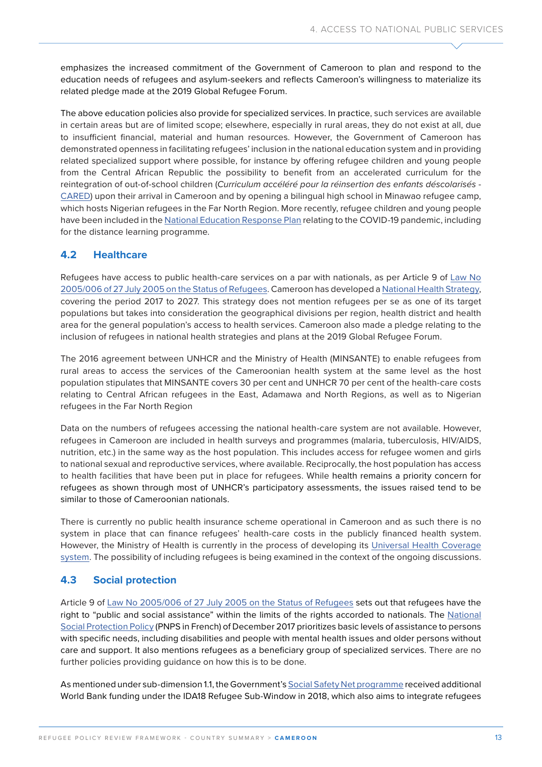emphasizes the increased commitment of the Government of Cameroon to plan and respond to the education needs of refugees and asylum-seekers and reflects Cameroon's willingness to materialize its related pledge made at the 2019 Global Refugee Forum.

The above education policies also provide for specialized services. In practice, such services are available in certain areas but are of limited scope; elsewhere, especially in rural areas, they do not exist at all, due to insufficient financial, material and human resources. However, the Government of Cameroon has demonstrated openness in facilitating refugees' inclusion in the national education system and in providing related specialized support where possible, for instance by offering refugee children and young people from the Central African Republic the possibility to benefit from an accelerated curriculum for the reintegration of out-of-school children (*Curriculum accéléré pour la réinsertion des enfants déscolarisés* - [CARED](https://www.globalpartnership.org/sites/default/files/document/file/2019-12-Cameroun-programme-financement-accelere_0.pdf)) upon their arrival in Cameroon and by opening a bilingual high school in Minawao refugee camp, which hosts Nigerian refugees in the Far North Region. More recently, refugee children and young people have been included in the [National Education Response Plan](https://www.globalpartnership.org/sites/default/files/document/file/2020-07-requete-financement-accelere-covid-19-document-programme-cameroun-mai.pdf) relating to the COVID-19 pandemic, including for the distance learning programme.

### **4.2 Healthcare**

Refugees have access to public health-care services on a par with nationals, as per Article 9 of [Law No](https://www.refworld.org/pdfid/44eb242e4.pdf)  [2005/006 of 27 July 2005 on the Status of Refugees.](https://www.refworld.org/pdfid/44eb242e4.pdf) Cameroon has developed a [National Health Strategy](https://www.minsante.cm/site/?q=fr/content/strat%C3%A9gie-sectorielle-de-sant%C3%A9-2016-2027-1), covering the period 2017 to 2027. This strategy does not mention refugees per se as one of its target populations but takes into consideration the geographical divisions per region, health district and health area for the general population's access to health services. Cameroon also made a pledge relating to the inclusion of refugees in national health strategies and plans at the 2019 Global Refugee Forum.

The 2016 agreement between UNHCR and the Ministry of Health (MINSANTE) to enable refugees from rural areas to access the services of the Cameroonian health system at the same level as the host population stipulates that MINSANTE covers 30 per cent and UNHCR 70 per cent of the health-care costs relating to Central African refugees in the East, Adamawa and North Regions, as well as to Nigerian refugees in the Far North Region

Data on the numbers of refugees accessing the national health-care system are not available. However, refugees in Cameroon are included in health surveys and programmes (malaria, tuberculosis, HIV/AIDS, nutrition, etc.) in the same way as the host population. This includes access for refugee women and girls to national sexual and reproductive services, where available. Reciprocally, the host population has access to health facilities that have been put in place for refugees. While health remains a priority concern for refugees as shown through most of UNHCR's participatory assessments, the issues raised tend to be similar to those of Cameroonian nationals.

There is currently no public health insurance scheme operational in Cameroon and as such there is no system in place that can finance refugees' health-care costs in the publicly financed health system. However, the Ministry of Health is currently in the process of developing its Universal Health Coverage [system](https://www.minsante.cm/site/sites/default/files/Point%20CSU%20Conférence%20Services%20Centraux%202018%20OK.pdf). The possibility of including refugees is being examined in the context of the ongoing discussions.

### **4.3 Social protection**

Article 9 of [Law No 2005/006 of 27 July 2005 on the Status of Refugees](https://www.refworld.org/pdfid/44eb242e4.pdf) sets out that refugees have the right to "public and social assistance" within the limits of the rights accorded to nationals. The [National](https://www.refworld.org/docid/609e831e4.html)  [Social Protection Policy](https://www.refworld.org/docid/609e831e4.html) (PNPS in French) of December 2017 prioritizes basic levels of assistance to persons with specific needs, including disabilities and people with mental health issues and older persons without care and support. It also mentions refugees as a beneficiary group of specialized services. There are no further policies providing guidance on how this is to be done.

As mentioned under sub-dimension 1.1, the Government's [Social Safety Net programme](https://projects.worldbank.org/en/projects-operations/project-detail/P164830) received additional World Bank funding under the IDA18 Refugee Sub-Window in 2018, which also aims to integrate refugees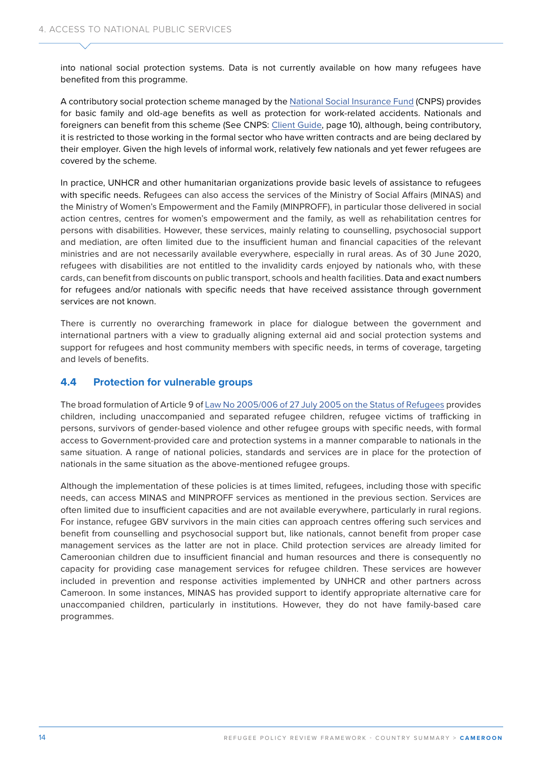into national social protection systems. Data is not currently available on how many refugees have benefited from this programme.

A contributory social protection scheme managed by the [National Social Insurance Fund](https://www.cnps.cm/index.php/fr/) (CNPS) provides for basic family and old-age benefits as well as protection for work-related accidents. Nationals and foreigners can benefit from this scheme (See CNPS: [Client Guide](https://www.cnps.cm/images/faq.pdf), page 10), although, being contributory, it is restricted to those working in the formal sector who have written contracts and are being declared by their employer. Given the high levels of informal work, relatively few nationals and yet fewer refugees are covered by the scheme.

In practice, UNHCR and other humanitarian organizations provide basic levels of assistance to refugees with specific needs. Refugees can also access the services of the Ministry of Social Affairs (MINAS) and the Ministry of Women's Empowerment and the Family (MINPROFF), in particular those delivered in social action centres, centres for women's empowerment and the family, as well as rehabilitation centres for persons with disabilities. However, these services, mainly relating to counselling, psychosocial support and mediation, are often limited due to the insufficient human and financial capacities of the relevant ministries and are not necessarily available everywhere, especially in rural areas. As of 30 June 2020, refugees with disabilities are not entitled to the invalidity cards enjoyed by nationals who, with these cards, can benefit from discounts on public transport, schools and health facilities. Data and exact numbers for refugees and/or nationals with specific needs that have received assistance through government services are not known.

There is currently no overarching framework in place for dialogue between the government and international partners with a view to gradually aligning external aid and social protection systems and support for refugees and host community members with specific needs, in terms of coverage, targeting and levels of benefits.

### **4.4 Protection for vulnerable groups**

The broad formulation of Article 9 of [Law No 2005/006 of 27 July 2005 on the Status of Refugees](https://www.refworld.org/pdfid/44eb242e4.pdf) provides children, including unaccompanied and separated refugee children, refugee victims of trafficking in persons, survivors of gender-based violence and other refugee groups with specific needs, with formal access to Government-provided care and protection systems in a manner comparable to nationals in the same situation. A range of national policies, standards and services are in place for the protection of nationals in the same situation as the above-mentioned refugee groups.

Although the implementation of these policies is at times limited, refugees, including those with specific needs, can access MINAS and MINPROFF services as mentioned in the previous section. Services are often limited due to insufficient capacities and are not available everywhere, particularly in rural regions. For instance, refugee GBV survivors in the main cities can approach centres offering such services and benefit from counselling and psychosocial support but, like nationals, cannot benefit from proper case management services as the latter are not in place. Child protection services are already limited for Cameroonian children due to insufficient financial and human resources and there is consequently no capacity for providing case management services for refugee children. These services are however included in prevention and response activities implemented by UNHCR and other partners across Cameroon. In some instances, MINAS has provided support to identify appropriate alternative care for unaccompanied children, particularly in institutions. However, they do not have family-based care programmes.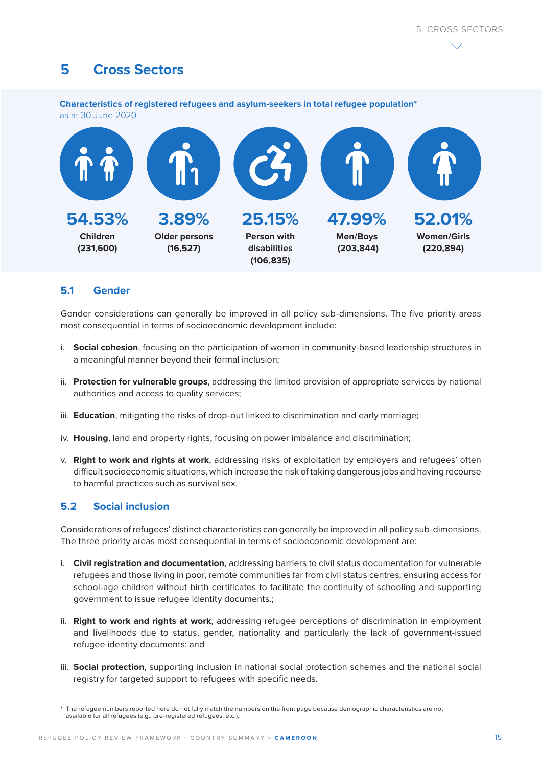## **5 Cross Sectors**

**Characteristics of registered refugees and asylum-seekers in total refugee population\***  as at 30 June 2020



### **5.1 Gender**

Gender considerations can generally be improved in all policy sub-dimensions. The five priority areas most consequential in terms of socioeconomic development include:

- i. **Social cohesion**, focusing on the participation of women in community-based leadership structures in a meaningful manner beyond their formal inclusion;
- ii. **Protection for vulnerable groups**, addressing the limited provision of appropriate services by national authorities and access to quality services;
- iii. **Education**, mitigating the risks of drop-out linked to discrimination and early marriage;
- iv. **Housing**, land and property rights, focusing on power imbalance and discrimination;
- v. **Right to work and rights at work**, addressing risks of exploitation by employers and refugees' often difficult socioeconomic situations, which increase the risk of taking dangerous jobs and having recourse to harmful practices such as survival sex.

### **5.2 Social inclusion**

Considerations of refugees' distinct characteristics can generally be improved in all policy sub-dimensions. The three priority areas most consequential in terms of socioeconomic development are:

- i. **Civil registration and documentation,** addressing barriers to civil status documentation for vulnerable refugees and those living in poor, remote communities far from civil status centres, ensuring access for school-age children without birth certificates to facilitate the continuity of schooling and supporting government to issue refugee identity documents.;
- ii. **Right to work and rights at work**, addressing refugee perceptions of discrimination in employment and livelihoods due to status, gender, nationality and particularly the lack of government-issued refugee identity documents; and
- iii. **Social protection**, supporting inclusion in national social protection schemes and the national social registry for targeted support to refugees with specific needs.

<sup>\*</sup> The refugee numbers reported here do not fully match the numbers on the front page because demographic characteristics are not available for all refugees (e.g., pre-registered refugees, etc.).